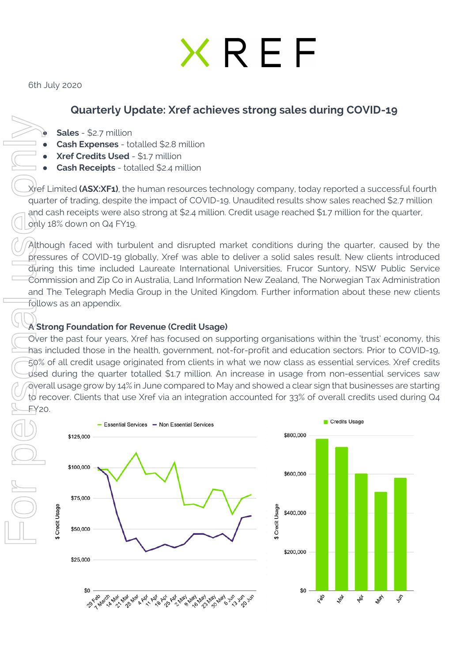# XREF

6th July 2020

# **Quarterly Update: Xref achieves strong sales during COVID-19**

● **Sales** - \$2.7 million

- **Cash Expenses** totalled \$2.8 million
- **Xref Credits Used \$1.7 million**
- **Cash Receipts** totalled \$2.4 million

Xref Limited **(ASX:XF1)**, the human resources technology company, today reported a successful fourth quarter of trading, despite the impact of COVID-19. Unaudited results show sales reached \$2.7 million and cash receipts were also strong at \$2.4 million. Credit usage reached \$1.7 million for the quarter, only 18% down on Q4 FY19.

Although faced with turbulent and disrupted market conditions during the quarter, caused by the pressures of COVID-19 globally, Xref was able to deliver a solid sales result. New clients introduced during this time included Laureate International Universities, Frucor Suntory, NSW Public Service Commission and Zip Co in Australia, Land Information New Zealand, The Norwegian Tax Administration and The Telegraph Media Group in the United Kingdom. Further information about these new clients follows as an appendix.

### **A Strong Foundation for Revenue (Credit Usage)**

FRAME CONTROLL CONTROLL CONTROLL CONTROLL CONTROLL CONTROLL CONTROLL CONTROLL CONTROLL CONTROLL CONTROLL CONTROLL CONTROLL CONTROLL CONTROLL CONTROLL CONTROLL CONTROLL CONTROLL CONTROLL CONTROLL CONTROLL CONTROLL CONTROLL Over the past four years, Xref has focused on supporting organisations within the 'trust' economy, this has included those in the health, government, not-for-profit and education sectors. Prior to COVID-19, 50% of all credit usage originated from clients in what we now class as essential services. Xref credits used during the quarter totalled \$1.7 million. An increase in usage from non-essential services saw overall usage grow by 14% in June compared to May and showed a clear sign that businesses are starting to recover. Clients that use Xref via an integration accounted for 33% of overall credits used during Q4 FY20.

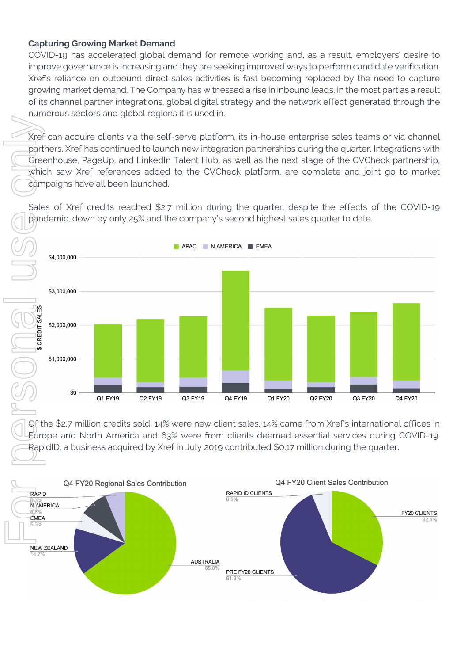#### **Capturing Growing Market Demand**

COVID-19 has accelerated global demand for remote working and, as a result, employers' desire to improve governance is increasing and they are seeking improved ways to perform candidate verification. Xref's reliance on outbound direct sales activities is fast becoming replaced by the need to capture growing market demand. The Company has witnessed a rise in inbound leads, in the most part as a result of its channel partner integrations, global digital strategy and the network effect generated through the numerous sectors and global regions it is used in.

Xref can acquire clients via the self-serve platform, its in-house enterprise sales teams or via channel partners. Xref has continued to launch new integration partnerships during the quarter. Integrations with Greenhouse, PageUp, and LinkedIn Talent Hub, as well as the next stage of the CVCheck partnership, which saw Xref references added to the CVCheck platform, are complete and joint go to market campaigns have all been launched.

Sales of Xref credits reached \$2.7 million during the quarter, despite the effects of the COVID-19 pandemic, down by only 25% and the company's second highest sales quarter to date.



Of the \$2.7 million credits sold, 14% were new client sales, 14% came from Xref's international offices in Europe and North America and 63% were from clients deemed essential services during COVID-19.

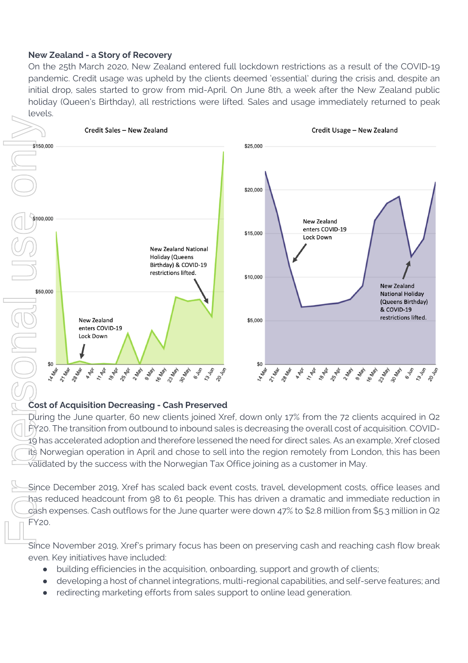#### **New Zealand - a Story of Recovery**

On the 25th March 2020, New Zealand entered full lockdown restrictions as a result of the COVID-19 pandemic. Credit usage was upheld by the clients deemed 'essential' during the crisis and, despite an initial drop, sales started to grow from mid-April. On June 8th, a week after the New Zealand public holiday (Queen's Birthday), all restrictions were lifted. Sales and usage immediately returned to peak levels.



#### **Cost of Acquisition Decreasing - Cash Preserved**

During the June quarter, 60 new clients joined Xref, down only 17% from the 72 clients acquired in Q2 FY20. The transition from outbound to inbound sales is decreasing the overall cost of acquisition. COVID-19 has accelerated adoption and therefore lessened the need for direct sales. As an example, Xref closed its Norwegian operation in April and chose to sell into the region remotely from London, this has been validated by the success with the Norwegian Tax Office joining as a customer in May.

Since December 2019, Xref has scaled back event costs, travel, development costs, office leases and has reduced headcount from 98 to 61 people. This has driven a dramatic and immediate reduction in cash expenses. Cash outflows for the June quarter were down 47% to \$2.8 million from \$5.3 million in Q2  $FY20$ 

Since November 2019, Xref's primary focus has been on preserving cash and reaching cash flow break even. Key initiatives have included:

- building efficiencies in the acquisition, onboarding, support and growth of clients;
- developing a host of channel integrations, multi-regional capabilities, and self-serve features; and
-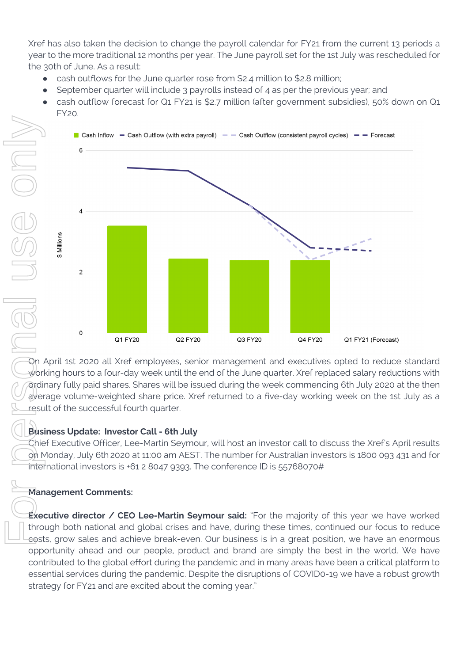Xref has also taken the decision to change the payroll calendar for FY21 from the current 13 periods a year to the more traditional 12 months per year. The June payroll set for the 1st July was rescheduled for the 30th of June. As a result:

- cash outflows for the June quarter rose from \$2.4 million to \$2.8 million;
- September quarter will include 3 payrolls instead of 4 as per the previous year; and
- cash outflow forecast for Q1 FY21 is \$2.7 million (after government subsidies), 50% down on Q1 FY20.



On April 1st 2020 all Xref employees, senior management and executives opted to reduce standard working hours to a four-day week until the end of the June quarter. Xref replaced salary reductions with ordinary fully paid shares. Shares will be issued during the week commencing 6th July 2020 at the then average volume-weighted share price. Xref returned to a five-day working week on the 1st July as a result of the successful fourth quarter.

# **Business Update: Investor Call - 6th July**

Chief Executive Officer, Lee-Martin Seymour, will host an investor call to discuss the Xref's April results on Monday, July 6th 2020 at 11:00 am AEST. The number for Australian investors is 1800 093 431 and for international investors is +61 2 8047 9393. The conference ID is 55768070#

# **Management Comments:**

**Executive director / CEO Lee-Martin Seymour said:** "For the majority of this year we have worked through both national and global crises and have, during these times, continued our focus to reduce costs, grow sales and achieve break-even. Our business is in a great position, we have an enormous opportunity ahead and our people, product and brand are simply the best in the world. We have contributed to the global effort during the pandemic and in many areas have been a critical platform to essential services during the pandemic. Despite the disruptions of COVID0-19 we have a robust growth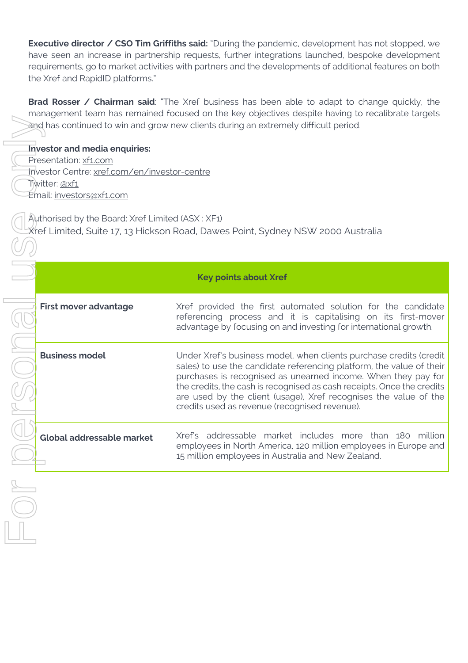**Executive director / CSO Tim Griffiths said:** "During the pandemic, development has not stopped, we have seen an increase in partnership requests, further integrations launched, bespoke development requirements, go to market activities with partners and the developments of additional features on both the Xref and RapidID platforms."

**Brad Rosser / Chairman said**: "The Xref business has been able to adapt to change quickly, the management team has remained focused on the key objectives despite having to recalibrate targets and has continued to win and grow new clients during an extremely difficult period.

**Investor and media enquiries:**

- Presentation: xf1.com
- Investor Centre: xref.com/en/investor-centre
- Twitter: @xf1
- Email: investors@xf1.com

Authorised by the Board: Xref Limited (ASX : XF1) Xref Limited, Suite 17, 13 Hickson Road, Dawes Point, Sydney NSW 2000 Australia

| <b>Key points about Xref</b> |                                                                                                                                                                                                                                                                                                                                                                                                            |
|------------------------------|------------------------------------------------------------------------------------------------------------------------------------------------------------------------------------------------------------------------------------------------------------------------------------------------------------------------------------------------------------------------------------------------------------|
| First mover advantage        | Xref provided the first automated solution for the candidate<br>referencing process and it is capitalising on its first-mover<br>advantage by focusing on and investing for international growth.                                                                                                                                                                                                          |
| <b>Business model</b>        | Under Xref's business model, when clients purchase credits (credit<br>sales) to use the candidate referencing platform, the value of their<br>purchases is recognised as unearned income. When they pay for<br>the credits, the cash is recognised as cash receipts. Once the credits<br>are used by the client (usage), Xref recognises the value of the<br>credits used as revenue (recognised revenue). |
| Global addressable market    | Xref's addressable market includes more than 180 million<br>employees in North America, 120 million employees in Europe and<br>15 million employees in Australia and New Zealand.                                                                                                                                                                                                                          |